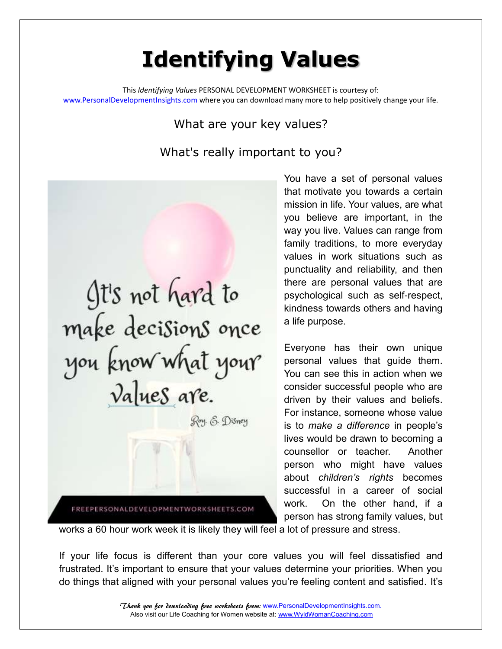## **Identifying Values**

This *Identifying Values* PERSONAL DEVELOPMENT WORKSHEET is courtesy of: [www.PersonalDevelopmentInsights.com](http://www.personaldevelopmentinsights.com/) where you can download many more to help positively change your life.

## What are your key values?

What's really important to you?

It's not hard to make decisions once you know what your Roy. E. Disney FREEPERSONALDEVELOPMENTWORKSHEETS.COM

You have a set of personal values that motivate you towards a certain mission in life. Your values, are what you believe are important, in the way you live. Values can range from family traditions, to more everyday values in work situations such as punctuality and reliability, and then there are personal values that are psychological such as self-respect, kindness towards others and having a life purpose.

Everyone has their own unique personal values that guide them. You can see this in action when we consider successful people who are driven by their values and beliefs. For instance, someone whose value is to *make a difference* in people's lives would be drawn to becoming a counsellor or teacher. Another person who might have values about *children's rights* becomes successful in a career of social work. On the other hand, if a person has strong family values, but

works a 60 hour work week it is likely they will feel a lot of pressure and stress.

If your life focus is different than your core values you will feel dissatisfied and frustrated. It's important to ensure that your values determine your priorities. When you do things that aligned with your personal values you're feeling content and satisfied. It's

> Thank you for downloading free worksheets from: [www.PersonalDevelopmentInsights.com.](http://www.personaldevelopmentinsights.com./) Also visit our Life Coaching for Women website at[: www.WyldWomanCoaching.com](http://www.wyldwomancoaching.com/)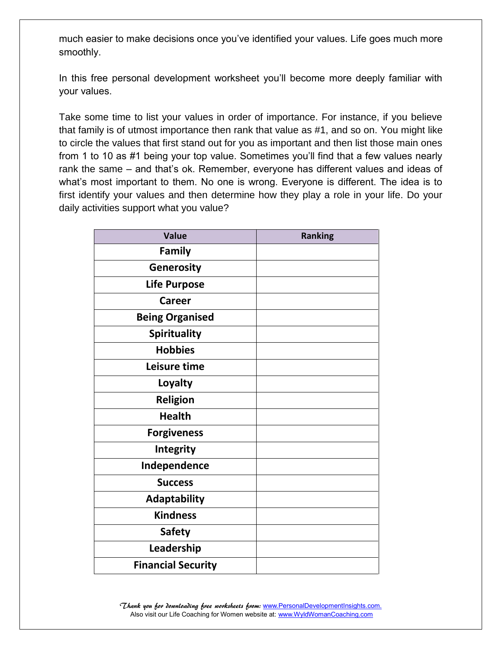much easier to make decisions once you've identified your values. Life goes much more smoothly.

In this free personal development worksheet you'll become more deeply familiar with your values.

Take some time to list your values in order of importance. For instance, if you believe that family is of utmost importance then rank that value as #1, and so on. You might like to circle the values that first stand out for you as important and then list those main ones from 1 to 10 as #1 being your top value. Sometimes you'll find that a few values nearly rank the same – and that's ok. Remember, everyone has different values and ideas of what's most important to them. No one is wrong. Everyone is different. The idea is to first identify your values and then determine how they play a role in your life. Do your daily activities support what you value?

| <b>Value</b>              | <b>Ranking</b> |
|---------------------------|----------------|
| Family                    |                |
| Generosity                |                |
| <b>Life Purpose</b>       |                |
| Career                    |                |
| <b>Being Organised</b>    |                |
| <b>Spirituality</b>       |                |
| <b>Hobbies</b>            |                |
| Leisure time              |                |
| Loyalty                   |                |
| <b>Religion</b>           |                |
| <b>Health</b>             |                |
| <b>Forgiveness</b>        |                |
| Integrity                 |                |
| Independence              |                |
| <b>Success</b>            |                |
| <b>Adaptability</b>       |                |
| <b>Kindness</b>           |                |
| <b>Safety</b>             |                |
| Leadership                |                |
| <b>Financial Security</b> |                |

Thank you for downloading free worksheets from: [www.PersonalDevelopmentInsights.com.](http://www.personaldevelopmentinsights.com./) Also visit our Life Coaching for Women website at[: www.WyldWomanCoaching.com](http://www.wyldwomancoaching.com/)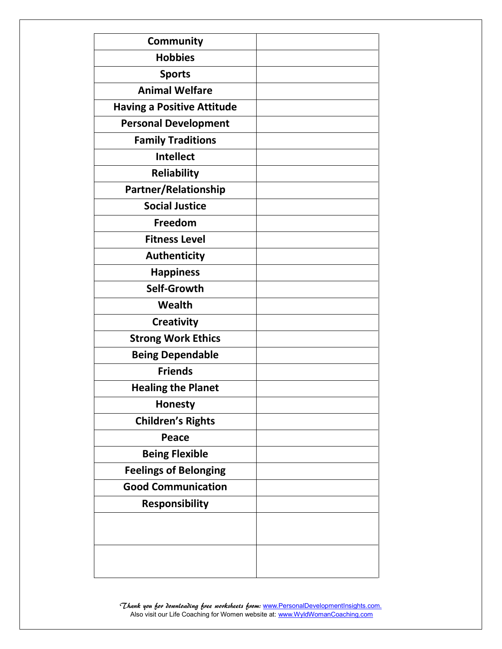| Community                         |  |
|-----------------------------------|--|
| <b>Hobbies</b>                    |  |
| <b>Sports</b>                     |  |
| <b>Animal Welfare</b>             |  |
| <b>Having a Positive Attitude</b> |  |
| <b>Personal Development</b>       |  |
| <b>Family Traditions</b>          |  |
| <b>Intellect</b>                  |  |
| <b>Reliability</b>                |  |
| Partner/Relationship              |  |
| <b>Social Justice</b>             |  |
| Freedom                           |  |
| <b>Fitness Level</b>              |  |
| <b>Authenticity</b>               |  |
| <b>Happiness</b>                  |  |
| Self-Growth                       |  |
| Wealth                            |  |
| <b>Creativity</b>                 |  |
| <b>Strong Work Ethics</b>         |  |
| <b>Being Dependable</b>           |  |
| <b>Friends</b>                    |  |
| <b>Healing the Planet</b>         |  |
| Honesty                           |  |
| <b>Children's Rights</b>          |  |
| Peace                             |  |
| <b>Being Flexible</b>             |  |
| <b>Feelings of Belonging</b>      |  |
| <b>Good Communication</b>         |  |
| <b>Responsibility</b>             |  |
|                                   |  |
|                                   |  |
|                                   |  |
|                                   |  |

Thank you for downloading free worksheets from: [www.PersonalDevelopmentInsights.com.](http://www.personaldevelopmentinsights.com./) Also visit our Life Coaching for Women website at[: www.WyldWomanCoaching.com](http://www.wyldwomancoaching.com/)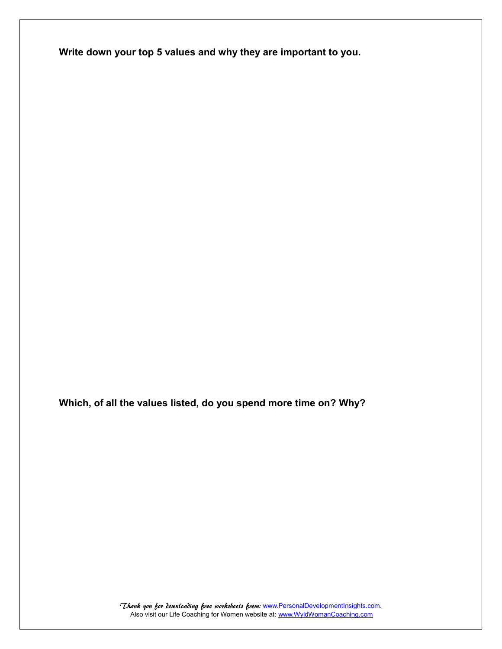**Write down your top 5 values and why they are important to you.**

**Which, of all the values listed, do you spend more time on? Why?**

Thank you for downloading free worksheets from: [www.PersonalDevelopmentInsights.com.](http://www.personaldevelopmentinsights.com./) Also visit our Life Coaching for Women website at[: www.WyldWomanCoaching.com](http://www.wyldwomancoaching.com/)